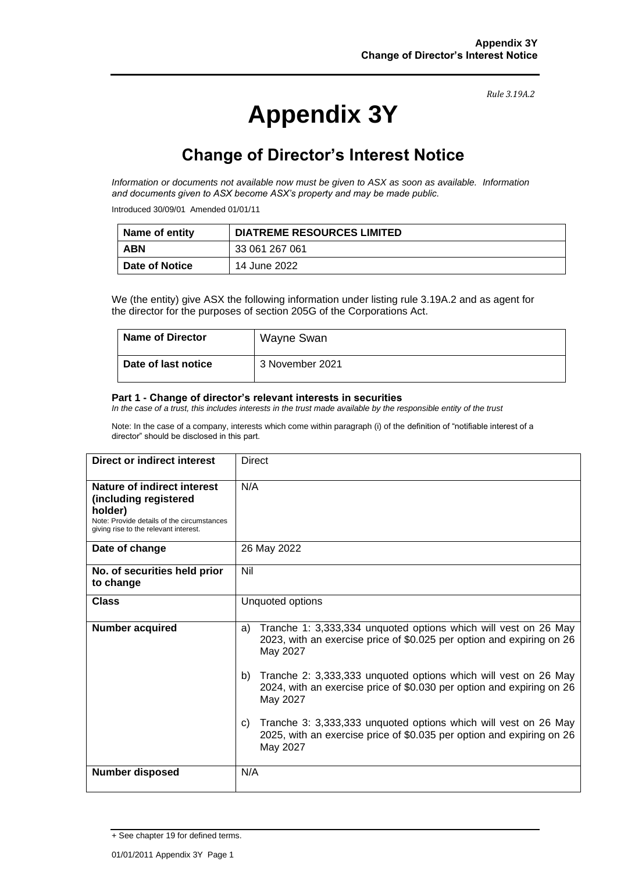*Rule 3.19A.2*

# **Appendix 3Y**

## **Change of Director's Interest Notice**

*Information or documents not available now must be given to ASX as soon as available. Information and documents given to ASX become ASX's property and may be made public.*

Introduced 30/09/01 Amended 01/01/11

| ∣ Name of entity | <b>DIATREME RESOURCES LIMITED</b> |
|------------------|-----------------------------------|
| <b>ABN</b>       | 33 061 267 061                    |
| ∣ Date of Notice | 14 June 2022                      |

We (the entity) give ASX the following information under listing rule 3.19A.2 and as agent for the director for the purposes of section 205G of the Corporations Act.

| Name of Director           | Wayne Swan      |
|----------------------------|-----------------|
| <b>Date of last notice</b> | 3 November 2021 |

#### **Part 1 - Change of director's relevant interests in securities**

*In the case of a trust, this includes interests in the trust made available by the responsible entity of the trust*

Note: In the case of a company, interests which come within paragraph (i) of the definition of "notifiable interest of a director" should be disclosed in this part.

| <b>Direct or indirect interest</b>                                                                                                                     | Direct                                                                                                                                                     |
|--------------------------------------------------------------------------------------------------------------------------------------------------------|------------------------------------------------------------------------------------------------------------------------------------------------------------|
| Nature of indirect interest<br>(including registered<br>holder)<br>Note: Provide details of the circumstances<br>giving rise to the relevant interest. | N/A                                                                                                                                                        |
| Date of change                                                                                                                                         | 26 May 2022                                                                                                                                                |
| No. of securities held prior<br>to change                                                                                                              | Nil                                                                                                                                                        |
| <b>Class</b>                                                                                                                                           | Unquoted options                                                                                                                                           |
| <b>Number acquired</b>                                                                                                                                 | Tranche 1: 3,333,334 unquoted options which will vest on 26 May<br>a)<br>2023, with an exercise price of \$0.025 per option and expiring on 26<br>May 2027 |
|                                                                                                                                                        | Tranche 2: 3,333,333 unquoted options which will vest on 26 May<br>b)<br>2024, with an exercise price of \$0.030 per option and expiring on 26<br>May 2027 |
|                                                                                                                                                        | Tranche 3: 3,333,333 unquoted options which will vest on 26 May<br>C)<br>2025, with an exercise price of \$0.035 per option and expiring on 26<br>May 2027 |
| <b>Number disposed</b>                                                                                                                                 | N/A                                                                                                                                                        |

<sup>+</sup> See chapter 19 for defined terms.